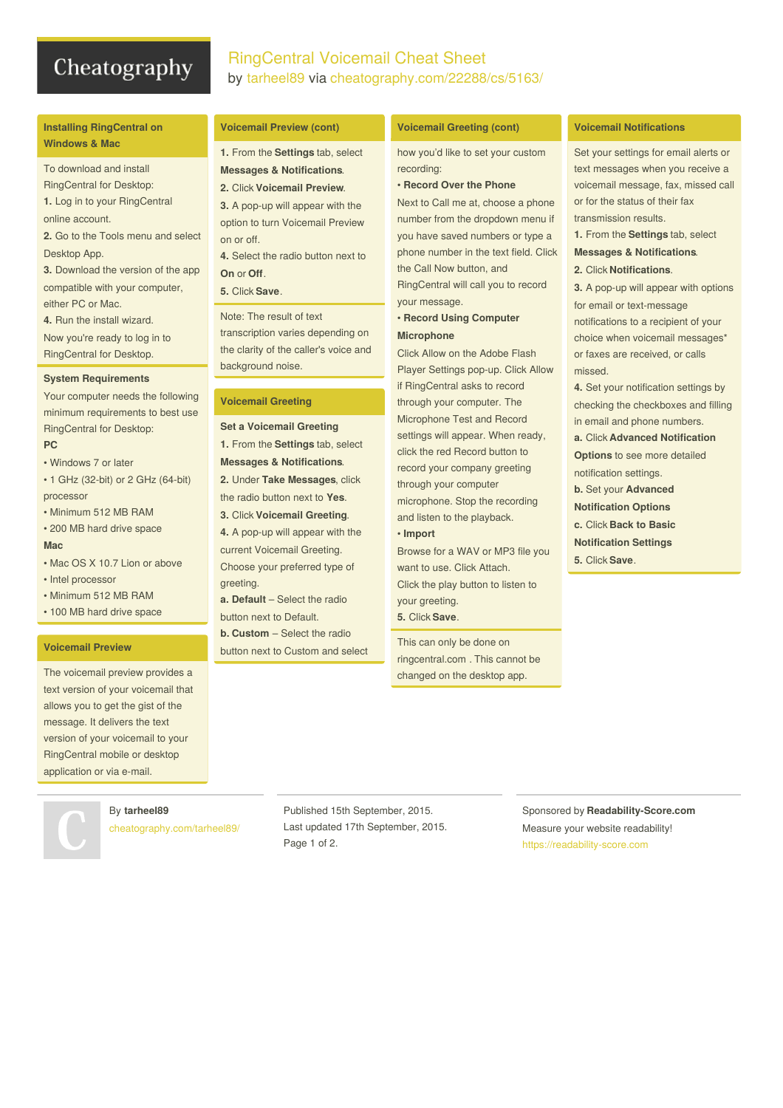# Cheatography

# RingCentral Voicemail Cheat Sheet by [tarheel89](http://www.cheatography.com/tarheel89/) via [cheatography.com/22288/cs/5163/](http://www.cheatography.com/tarheel89/cheat-sheets/ringcentral-voicemail)

#### **Installing RingCentral on Windows & Mac**

- To download and install RingCentral for Desktop:
- **1.** Log in to your RingCentral
- online account.

**2.** Go to the Tools menu and select Desktop App.

**3.** Download the version of the app compatible with your computer, either PC or Mac.

**4.** Run the install wizard. Now you're ready to log in to RingCentral for Desktop.

# **System Requirements**

Your computer needs the following minimum requirements to best use RingCentral for Desktop: **PC**

- Windows 7 or later
- 1 GHz (32-bit) or 2 GHz (64-bit) processor
- Minimum 512 MB RAM
- 200 MB hard drive space **Mac**
- Mac OS X 10.7 Lion or above
- Intel processor
- Minimum 512 MB RAM
- 100 MB hard drive space

#### **Voicemail Preview**

The voicemail preview provides a text version of your voicemail that allows you to get the gist of the message. It delivers the text version of your voicemail to your RingCentral mobile or desktop application or via e-mail.

#### By **tarheel89**

[cheatography.com/tarheel89/](http://www.cheatography.com/tarheel89/)

#### **Voicemail Preview (cont)**

**1.** From the **Settings** tab, select **Messages & Notifications**. **2.** Click **Voicemail Preview**.

**3.** A pop-up will appear with the option to turn Voicemail Preview on or off.

**4.** Select the radio button next to **On** or **Off**.

**5.** Click **Save**.

Note: The result of text transcription varies depending on the clarity of the caller's voice and background noise.

### **Voicemail Greeting**

**Set a Voicemail Greeting**

**1.** From the **Settings** tab, select

- **Messages & Notifications**. **2.** Under **Take Messages**, click
- the radio button next to **Yes**. **3.** Click **Voicemail Greeting**.
- **4.** A pop-up will appear with the current Voicemail Greeting. Choose your preferred type of greeting.
- **a. Default** Select the radio button next to Default.
- **b. Custom** Select the radio button next to Custom and select

### **Voicemail Greeting (cont)**

how you'd like to set your custom recording:

#### • **Record Over the Phone**

Next to Call me at, choose a phone number from the dropdown menu if you have saved numbers or type a phone number in the text field. Click the Call Now button, and RingCentral will call you to record

your message.

#### • **Record Using Computer Microphone**

Click Allow on the Adobe Flash Player Settings pop-up. Click Allow if RingCentral asks to record through your computer. The Microphone Test and Record settings will appear. When ready, click the red Record button to record your company greeting through your computer microphone. Stop the recording and listen to the playback.

#### • **Import**

Browse for a WAV or MP3 file you want to use. Click Attach. Click the play button to listen to your greeting. **5.** Click **Save**.

This can only be done on ringcentral.com . This cannot be changed on the desktop app.

#### **Voicemail Notifications**

Set your settings for email alerts or text messages when you receive a voicemail message, fax, missed call or for the status of their fax transmission results.

**1.** From the **Settings** tab, select

- **Messages & Notifications**.
- **2.** Click **Notifications**.

**3.** A pop-up will appear with options for email or text-message notifications to a recipient of your choice when voicemail messages\* or faxes are received, or calls missed.

**4.** Set your notification settings by checking the checkboxes and filling in email and phone numbers.

**a.** Click **Advanced Notification Options** to see more detailed

notification settings.

- **b.** Set your **Advanced Notification Options**
- **c.** Click **Back to Basic**
- **Notification Settings**
- **5.** Click **Save**.

Published 15th September, 2015. Last updated 17th September, 2015. Page 1 of 2.

Sponsored by **Readability-Score.com** Measure your website readability! <https://readability-score.com>